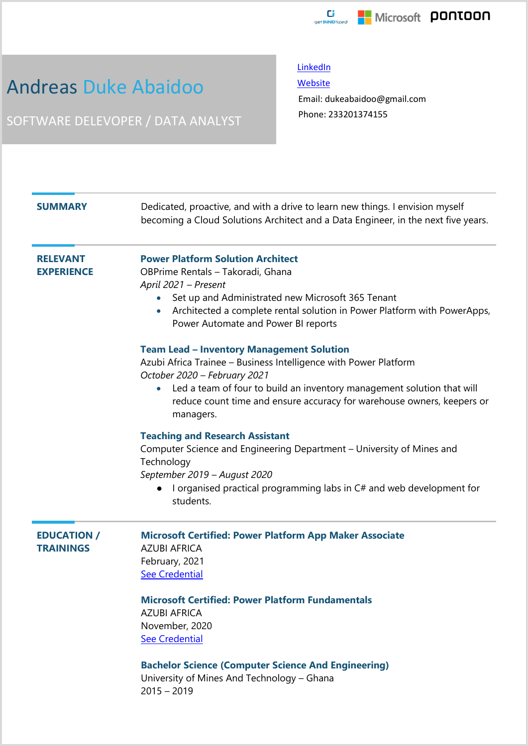

## Andreas Duke Abaidoo

SOFTWARE DELEVOPER / DATA ANALYST

**[LinkedIn](https://www.linkedin.com/in/andreas-duke-abaidoo-041bb7150/)** 

**[Website](https://andreasguy54.github.io/biport/)** 

Email: dukeabaidoo@gmail.com Phone: 233201374155

| <b>SUMMARY</b>                         | Dedicated, proactive, and with a drive to learn new things. I envision myself<br>becoming a Cloud Solutions Architect and a Data Engineer, in the next five years.                                                                                                                                                                                                        |
|----------------------------------------|---------------------------------------------------------------------------------------------------------------------------------------------------------------------------------------------------------------------------------------------------------------------------------------------------------------------------------------------------------------------------|
| <b>RELEVANT</b><br><b>EXPERIENCE</b>   | <b>Power Platform Solution Architect</b><br>OBPrime Rentals - Takoradi, Ghana<br>April 2021 - Present<br>Set up and Administrated new Microsoft 365 Tenant<br>Architected a complete rental solution in Power Platform with PowerApps,<br>Power Automate and Power BI reports                                                                                             |
|                                        | <b>Team Lead - Inventory Management Solution</b><br>Azubi Africa Trainee - Business Intelligence with Power Platform<br>October 2020 - February 2021<br>Led a team of four to build an inventory management solution that will<br>$\bullet$<br>reduce count time and ensure accuracy for warehouse owners, keepers or<br>managers.                                        |
|                                        | <b>Teaching and Research Assistant</b><br>Computer Science and Engineering Department - University of Mines and<br>Technology<br>September 2019 - August 2020<br>I organised practical programming labs in C# and web development for<br>students.                                                                                                                        |
| <b>EDUCATION /</b><br><b>TRAININGS</b> | <b>Microsoft Certified: Power Platform App Maker Associate</b><br><b>AZUBI AFRICA</b><br>February, 2021<br><b>See Credential</b><br><b>Microsoft Certified: Power Platform Fundamentals</b><br><b>AZUBI AFRICA</b><br>November, 2020<br><b>See Credential</b><br><b>Bachelor Science (Computer Science And Engineering)</b><br>University of Mines And Technology - Ghana |

2015 – 2019